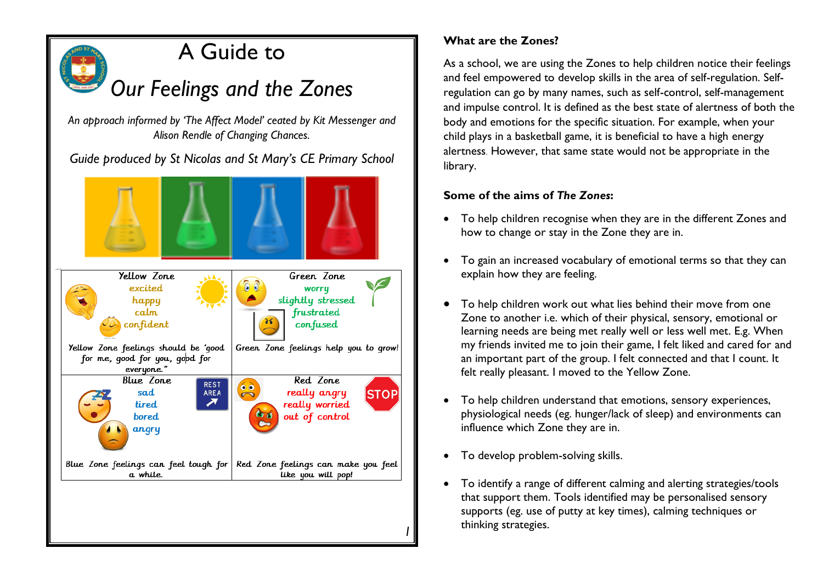

# A Guide to

*Our Feelings and the Zones* 

*An approach informed by 'The Affect Model' ceated by Kit Messenger and Alison Rendle of Changing Chances.*

*Guide produced by St Nicolas and St Mary's CE Primary School* 



## **What are the Zones?**

As a school, we are using the Zones to help children notice their feelings and feel empowered to develop skills in the area of self-regulation. Selfregulation can go by many names, such as self-control, self-management and impulse control. It is defined as the best state of alertness of both the body and emotions for the specific situation. For example, when your child plays in a basketball game, it is beneficial to have a high energy alertness. However, that same state would not be appropriate in the library.

## **Some of the aims of** *The Zones***:**

- To help children recognise when they are in the different Zones and how to change or stay in the Zone they are in.
- To gain an increased vocabulary of emotional terms so that they can explain how they are feeling.
- To help children work out what lies behind their move from one Zone to another i.e. which of their physical, sensory, emotional or learning needs are being met really well or less well met. E.g. When my friends invited me to join their game, I felt liked and cared for and an important part of the group. I felt connected and that I count. It felt really pleasant. I moved to the Yellow Zone.
- To help children understand that emotions, sensory experiences, physiological needs (eg. hunger/lack of sleep) and environments can influence which Zone they are in.
- To develop problem-solving skills.
- To identify a range of different calming and alerting strategies/tools that support them. Tools identified may be personalised sensory supports (eg. use of putty at key times), calming techniques or thinking strategies.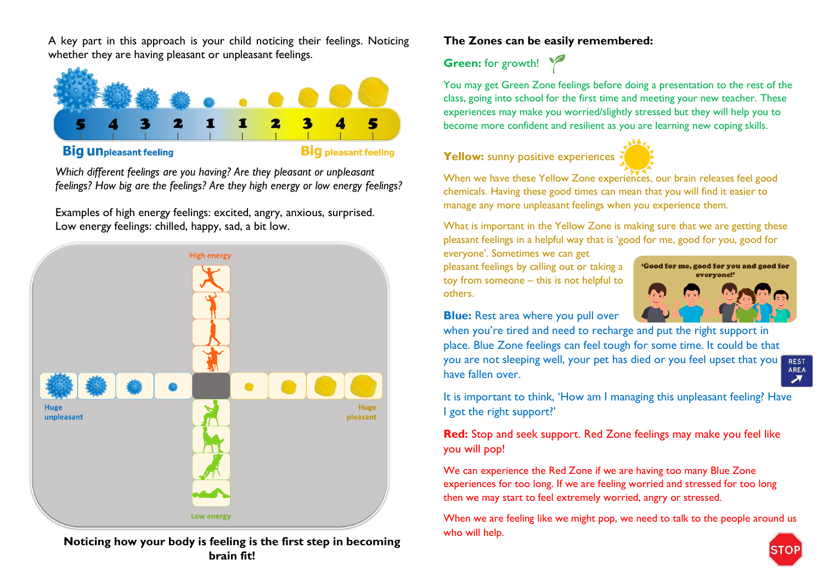A key part in this approach is your child noticing their feelings. Noticing whether they are having pleasant or unpleasant feelings.



#### **Big un** pleasant feeling

**Big** pleasant feeling

*Which different feelings are you having? Are they pleasant or unpleasant feelings? How big are the feelings? Are they high energy or low energy feelings?*

Examples of high energy feelings: excited, angry, anxious, surprised. Low energy feelings: chilled, happy, sad, a bit low.



**Noticing how your body is feeling is the first step in becoming brain fit!**

## **The Zones can be easily remembered:**

**Green:** for growth!



You may get Green Zone feelings before doing a presentation to the rest of the class, going into school for the first time and meeting your new teacher. These

When we have these Yellow Zone experiences, our brain releases feel good chemicals. Having these good times can mean that you will find it easier to manage any more unpleasant feelings when you experience them.

What is important in the Yellow Zone is making sure that we are getting these pleasant feelings in a helpful way that is 'good for me, good for you, good for

everyone'. Sometimes we can get pleasant feelings by calling out or taking a toy from someone – this is not helpful to others.



**Blue:** Rest area where you pull over

when you're tired and need to recharge and put the right support in place. Blue Zone feelings can feel tough for some time. It could be that you are not sleeping well, your pet has died or you feel upset that you **REST** AREA have fallen over.  $\overline{\phantom{a}}$ 

It is important to think, 'How am I managing this unpleasant feeling? Have I got the right support?'

**Red:** Stop and seek support. Red Zone feelings may make you feel like you will pop!

We can experience the Red Zone if we are having too many Blue Zone experiences for too long. If we are feeling worried and stressed for too long then we may start to feel extremely worried, angry or stressed.

When we are feeling like we might pop, we need to talk to the people around us who will help.